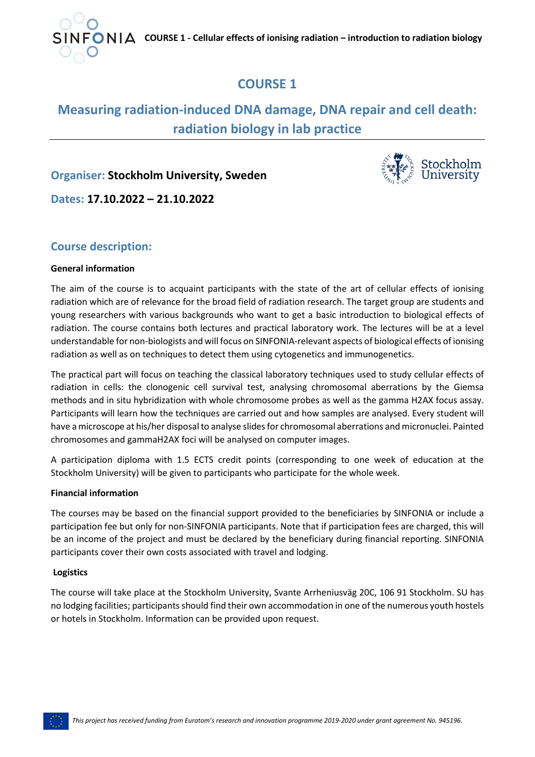

# **COURSE 1**

# **Measuring radiation-induced DNA damage, DNA repair and cell death: radiation biology in lab practice**

## **Organiser: Stockholm University, Sweden**



**Dates: 17.10.2022 – 21.10.2022**

## **Course description:**

#### **General information**

The aim of the course is to acquaint participants with the state of the art of cellular effects of ionising radiation which are of relevance for the broad field of radiation research. The target group are students and young researchers with various backgrounds who want to get a basic introduction to biological effects of radiation. The course contains both lectures and practical laboratory work. The lectures will be at a level understandable for non-biologists and will focus on SINFONIA-relevant aspects of biological effects of ionising radiation as well as on techniques to detect them using cytogenetics and immunogenetics.

The practical part will focus on teaching the classical laboratory techniques used to study cellular effects of radiation in cells: the clonogenic cell survival test, analysing chromosomal aberrations by the Giemsa methods and in situ hybridization with whole chromosome probes as well as the gamma H2AX focus assay. Participants will learn how the techniques are carried out and how samples are analysed. Every student will have a microscope at his/her disposal to analyse slides for chromosomal aberrations and micronuclei. Painted chromosomes and gammaH2AX foci will be analysed on computer images.

A participation diploma with 1.5 ECTS credit points (corresponding to one week of education at the Stockholm University) will be given to participants who participate for the whole week.

#### **Financial information**

The courses may be based on the financial support provided to the beneficiaries by SINFONIA or include a participation fee but only for non-SINFONIA participants. Note that if participation fees are charged, this will be an income of the project and must be declared by the beneficiary during financial reporting. SINFONIA participants cover their own costs associated with travel and lodging.

#### **Logistics**

The course will take place at the Stockholm University, Svante Arrheniusväg 20C, 106 91 Stockholm. SU has no lodging facilities; participants should find their own accommodation in one of the numerous youth hostels or hotels in Stockholm. Information can be provided upon request.

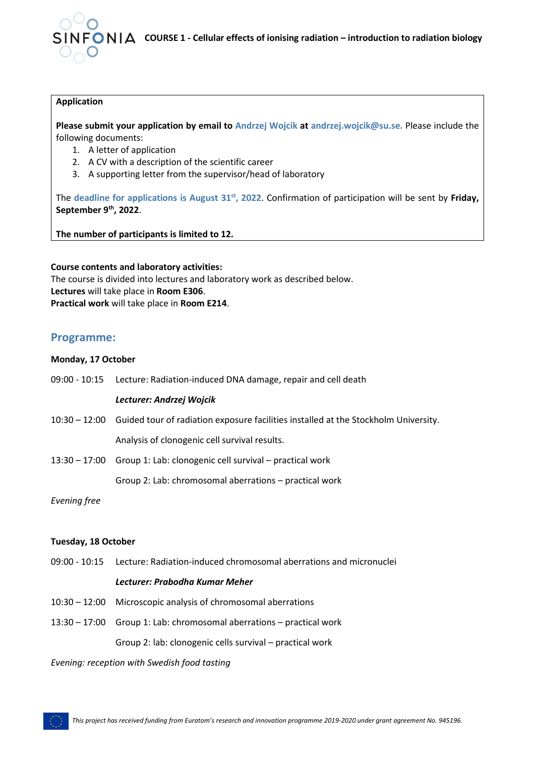

**COURSE 1 - Cellular effects of ionising radiation – introduction to radiation biology**

#### **Application**

**Please submit your application by email to Andrzej Wojcik at andrzej.wojcik@su.se.** Please include the following documents:

- 1. A letter of application
- 2. A CV with a description of the scientific career
- 3. A supporting letter from the supervisor/head of laboratory

The **deadline for applications is August 31st, 2022**. Confirmation of participation will be sent by **Friday, September 9th, 2022**.

**The number of participants is limited to 12.**

#### **Course contents and laboratory activities:**

The course is divided into lectures and laboratory work as described below. **Lectures** will take place in **Room E306**. **Practical work** will take place in **Room E214**.

### **Programme:**

#### **Monday, 17 October**

|               | 09:00 - 10:15 Lecture: Radiation-induced DNA damage, repair and cell death                        |
|---------------|---------------------------------------------------------------------------------------------------|
|               | Lecturer: Andrzej Wojcik                                                                          |
|               | 10:30 – 12:00 Guided tour of radiation exposure facilities installed at the Stockholm University. |
|               | Analysis of clonogenic cell survival results.                                                     |
| 13:30 – 17:00 | Group 1: Lab: clonogenic cell survival – practical work                                           |
|               | Group 2: Lab: chromosomal aberrations – practical work                                            |
| Evening free  |                                                                                                   |

#### **Tuesday, 18 October**

09:00 - 10:15 Lecture: Radiation-induced chromosomal aberrations and micronuclei

#### *Lecturer: Prabodha Kumar Meher*

- 10:30 12:00 Microscopic analysis of chromosomal aberrations
- 13:30 17:00 Group 1: Lab: chromosomal aberrations practical work Group 2: lab: clonogenic cells survival – practical work

*Evening: reception with Swedish food tasting*